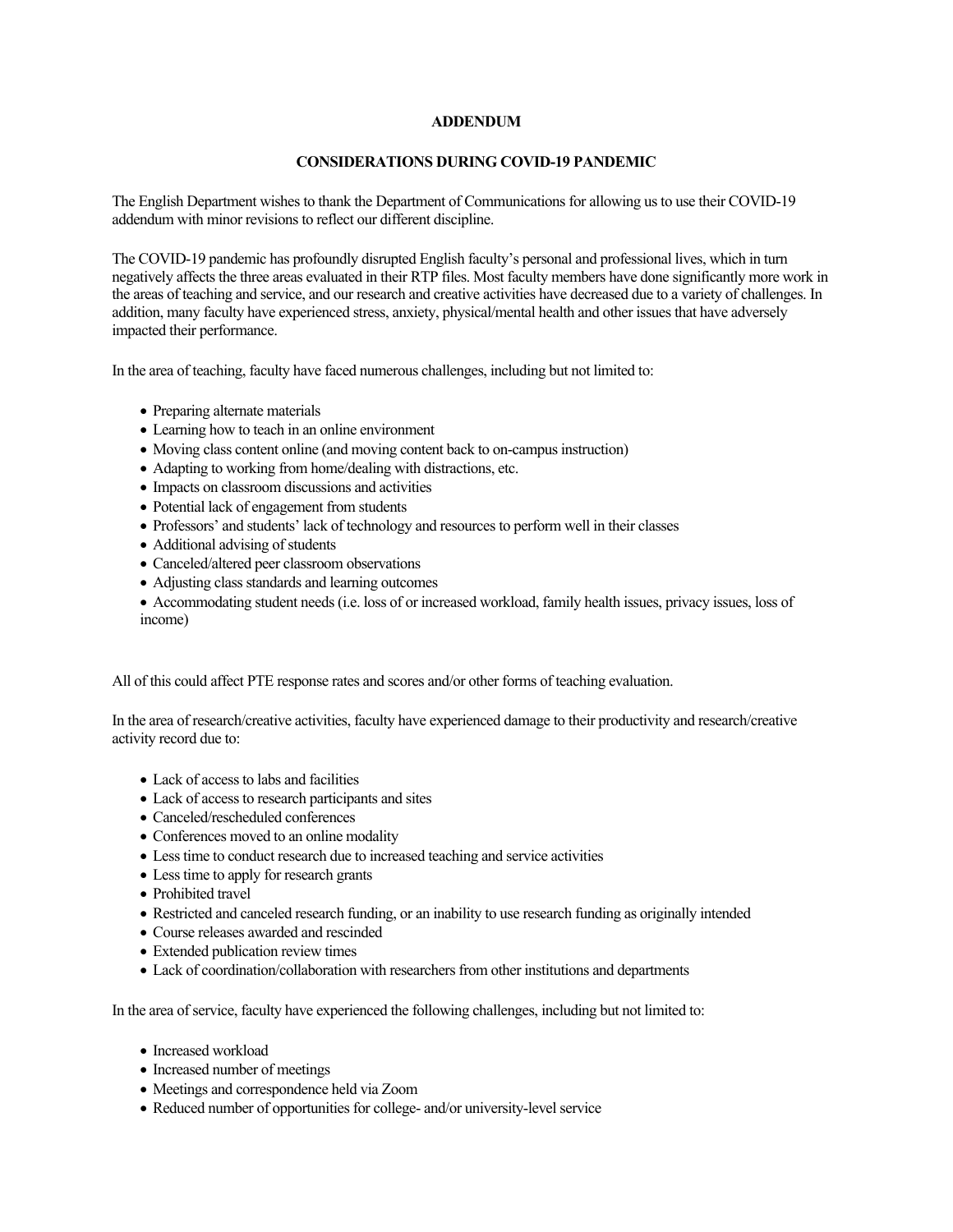## **ADDENDUM**

## **CONSIDERATIONS DURING COVID-19 PANDEMIC**

 The English Department wishes to thank the Department of Communications for allowing us to use their COVID-19 addendum with minor revisions to reflect our different discipline.

 The COVID-19 pandemic has profoundly disrupted English faculty's personal and professional lives, which in turn negatively affects the three areas evaluated in their RTP files. Most faculty members have done significantly more work in the areas of teaching and service, and our research and creative activities have decreased due to a variety of challenges. In addition, many faculty have experienced stress, anxiety, physical/mental health and other issues that have adversely impacted their performance.

In the area of teaching, faculty have faced numerous challenges, including but not limited to:

- Preparing alternate materials
- Learning how to teach in an online environment
- Moving class content online (and moving content back to on-campus instruction)
- Adapting to working from home/dealing with distractions, etc.
- Impacts on classroom discussions and activities
- Potential lack of engagement from students
- Professors' and students' lack of technology and resources to perform well in their classes
- Additional advising of students
- Canceled/altered peer classroom observations
- Adjusting class standards and learning outcomes
- Accommodating student needs (i.e. loss of or increased workload, family health issues, privacy issues, loss of income)

All of this could affect PTE response rates and scores and/or other forms of teaching evaluation.

 In the area of research/creative activities, faculty have experienced damage to their productivity and research/creative activity record due to:

- Lack of access to labs and facilities
- Lack of access to research participants and sites
- Canceled/rescheduled conferences
- Conferences moved to an online modality
- Less time to conduct research due to increased teaching and service activities
- Less time to apply for research grants
- Prohibited travel
- Restricted and canceled research funding, or an inability to use research funding as originally intended
- Course releases awarded and rescinded
- Extended publication review times
- Lack of coordination/collaboration with researchers from other institutions and departments

In the area of service, faculty have experienced the following challenges, including but not limited to:

- Increased workload
- Increased number of meetings
- Meetings and correspondence held via Zoom
- Reduced number of opportunities for college- and/or university-level service